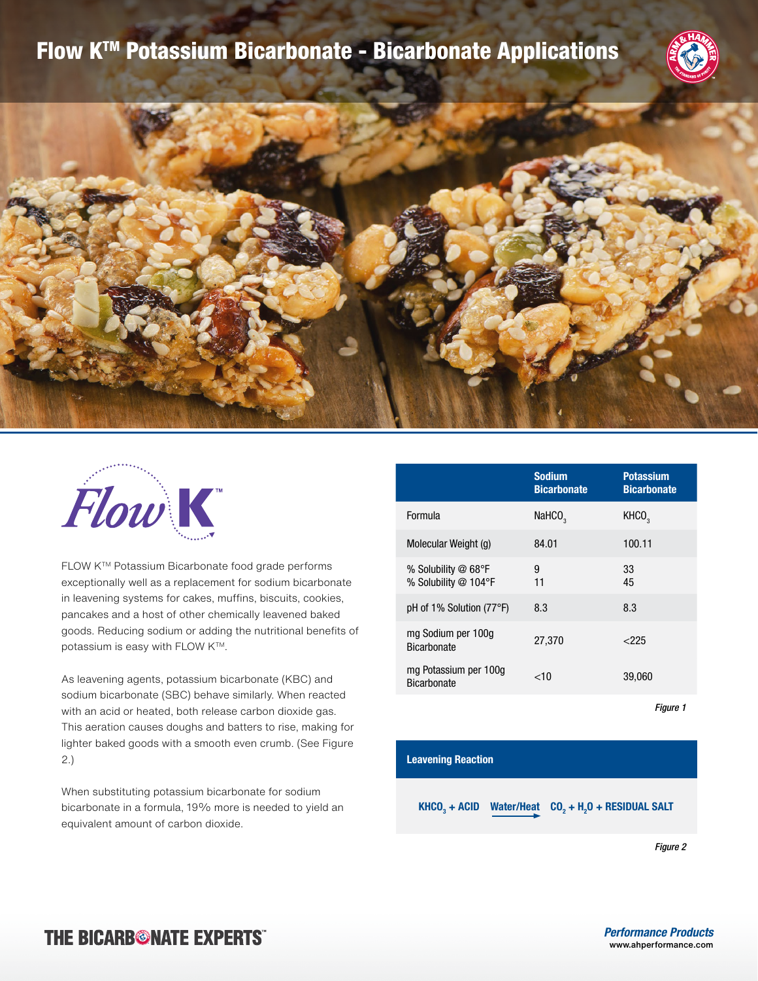## Flow KTM Potassium Bicarbonate - Bicarbonate Applications







FLOW KTM Potassium Bicarbonate food grade performs exceptionally well as a replacement for sodium bicarbonate in leavening systems for cakes, muffins, biscuits, cookies, pancakes and a host of other chemically leavened baked goods. Reducing sodium or adding the nutritional benefits of potassium is easy with FLOW K™.

As leavening agents, potassium bicarbonate (KBC) and sodium bicarbonate (SBC) behave similarly. When reacted with an acid or heated, both release carbon dioxide gas. This aeration causes doughs and batters to rise, making for lighter baked goods with a smooth even crumb. (See Figure 2.)

When substituting potassium bicarbonate for sodium bicarbonate in a formula, 19% more is needed to yield an equivalent amount of carbon dioxide.

|                                             | <b>Sodium</b><br><b>Bicarbonate</b> | <b>Potassium</b><br><b>Bicarbonate</b> |
|---------------------------------------------|-------------------------------------|----------------------------------------|
| Formula                                     | NaHCO <sub>3</sub>                  | KHCO <sub>3</sub>                      |
| Molecular Weight (g)                        | 84.01                               | 100.11                                 |
| % Solubility @ 68°F<br>% Solubility @ 104°F | 9<br>11                             | 33<br>45                               |
| pH of 1% Solution (77°F)                    | 8.3                                 | 8.3                                    |
| mg Sodium per 100g<br><b>Bicarbonate</b>    | 27,370                              | $<$ 225                                |
| mg Potassium per 100g<br><b>Bicarbonate</b> | 10>                                 | 39,060                                 |

*Figure 1*

## **Leavening Reaction**

KHCO<sub>3</sub> + ACID Water/Heat CO<sub>2</sub> + H<sub>2</sub>O + RESIDUAL SALT

*Figure 2*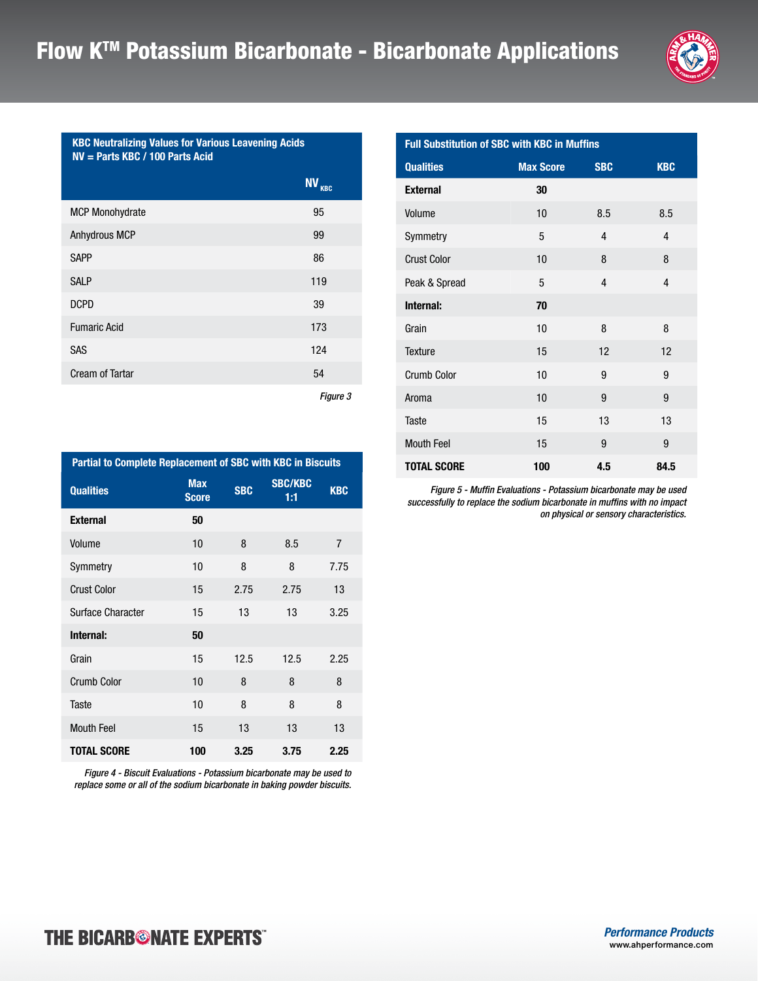

**KBC Neutralizing Values for Various Leavening Acids NV = Parts KBC / 100 Parts Acid**

|                        | NV <sub>KBC</sub> |
|------------------------|-------------------|
| <b>MCP Monohydrate</b> | 95                |
| Anhydrous MCP          | 99                |
| <b>SAPP</b>            | 86                |
| <b>SALP</b>            | 119               |
| <b>DCPD</b>            | 39                |
| <b>Fumaric Acid</b>    | 173               |
| <b>SAS</b>             | 124               |
| <b>Cream of Tartar</b> | 54                |
|                        |                   |

*Figure 3*

| Partial to Complete Replacement of SBC with KBC in Biscuits |                            |            |                       |                |
|-------------------------------------------------------------|----------------------------|------------|-----------------------|----------------|
| <b>Qualities</b>                                            | <b>Max</b><br><b>Score</b> | <b>SBC</b> | <b>SBC/KBC</b><br>1:1 | <b>KBC</b>     |
| <b>External</b>                                             | 50                         |            |                       |                |
| Volume                                                      | 10                         | 8          | 8.5                   | $\overline{7}$ |
| Symmetry                                                    | 10                         | 8          | 8                     | 7.75           |
| <b>Crust Color</b>                                          | 15                         | 2.75       | 2.75                  | 13             |
| Surface Character                                           | 15                         | 13         | 13                    | 3.25           |
| Internal:                                                   | 50                         |            |                       |                |
| Grain                                                       | 15                         | 12.5       | 12.5                  | 2.25           |
| Crumb Color                                                 | 10                         | 8          | 8                     | 8              |
| Taste                                                       | 10                         | 8          | 8                     | 8              |
| <b>Mouth Feel</b>                                           | 15                         | 13         | 13                    | 13             |
| <b>TOTAL SCORE</b>                                          | 100                        | 3.25       | 3.75                  | 2.25           |

*Figure 4 - Biscuit Evaluations - Potassium bicarbonate may be used to replace some or all of the sodium bicarbonate in baking powder biscuits.*

| <b>Full Substitution of SBC with KBC in Muffins</b> |                  |            |            |  |
|-----------------------------------------------------|------------------|------------|------------|--|
| <b>Qualities</b>                                    | <b>Max Score</b> | <b>SBC</b> | <b>KBC</b> |  |
| <b>External</b>                                     | 30               |            |            |  |
| Volume                                              | 10               | 8.5        | 8.5        |  |
| Symmetry                                            | 5                | 4          | 4          |  |
| <b>Crust Color</b>                                  | 10               | 8          | 8          |  |
| Peak & Spread                                       | 5                | 4          | 4          |  |
| Internal:                                           | 70               |            |            |  |
| Grain                                               | 10               | 8          | 8          |  |
| <b>Texture</b>                                      | 15               | 12         | 12         |  |
| <b>Crumb Color</b>                                  | 10               | 9          | 9          |  |
| Aroma                                               | 10               | 9          | 9          |  |
| Taste                                               | 15               | 13         | 13         |  |
| <b>Mouth Feel</b>                                   | 15               | 9          | 9          |  |
| <b>TOTAL SCORE</b>                                  | 100              | 4.5        | 84.5       |  |

*Figure 5 - Muffin Evaluations - Potassium bicarbonate may be used successfully to replace the sodium bicarbonate in muffins with no impact on physical or sensory characteristics.*